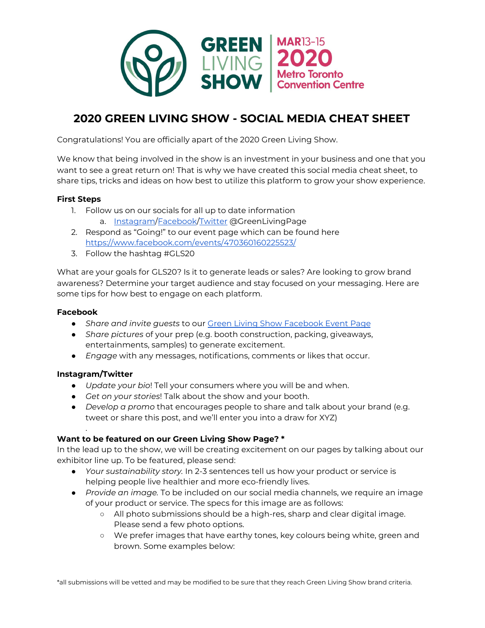

# **2020 GREEN LIVING SHOW - SOCIAL MEDIA CHEAT SHEET**

Congratulations! You are officially apart of the 2020 Green Living Show.

We know that being involved in the show is an investment in your business and one that you want to see a great return on! That is why we have created this social media cheat sheet, to share tips, tricks and ideas on how best to utilize this platform to grow your show experience.

## **First Steps**

- 1. Follow us on our socials for all up to date information a. [Instagram/](https://www.instagram.com/greenlivingpage/)[Facebook](https://www.facebook.com/GreenLivingPage/)/[Twitter](https://twitter.com/GreenLivingPage) @GreenLivingPage
- 2. Respond as "Going!" to our event page which can be found here <https://www.facebook.com/events/470360160225523/>
- 3. Follow the hashtag #GLS20

What are your goals for GLS20? Is it to generate leads or sales? Are looking to grow brand awareness? Determine your target audience and stay focused on your messaging. Here are some tips for how best to engage on each platform.

#### **Facebook**

- *Share and invite guests* to our Green Living Show [Facebook](https://www.facebook.com/events/470360160225523/) Event Page
- *Share pictures* of your prep (e.g. booth construction, packing, giveaways, entertainments, samples) to generate excitement.
- *Engage* with any messages, notifications, comments or likes that occur.

## **Instagram/Twitter**

.

- *Update your bio*! Tell your consumers where you will be and when.
- *Get on your stories*! Talk about the show and your booth.
- *Develop a promo* that encourages people to share and talk about your brand (e.g. tweet or share this post, and we'll enter you into a draw for XYZ)

## **Want to be featured on our Green Living Show Page? \***

In the lead up to the show, we will be creating excitement on our pages by talking about our exhibitor line up. To be featured, please send:

- *Your sustainability story.* In 2-3 sentences tell us how your product or service is helping people live healthier and more eco-friendly lives.
- *● Provide an image.* To be included on our social media channels, we require an image of your product or service. The specs for this image are as follows:
	- All photo submissions should be a high-res, sharp and clear digital image. Please send a few photo options.
	- We prefer images that have earthy tones, key colours being white, green and brown. Some examples below:

\*all submissions will be vetted and may be modified to be sure that they reach Green Living Show brand criteria.